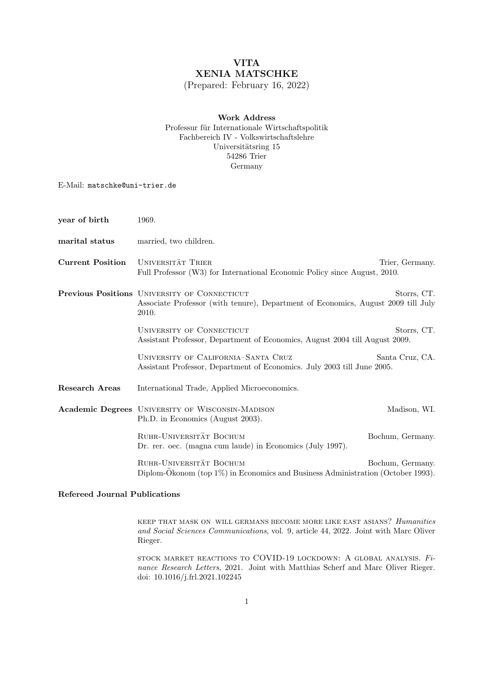# VITA XENIA MATSCHKE

(Prepared: February 16, 2022)

## Work Address Professur für Internationale Wirtschaftspolitik Fachbereich IV - Volkswirtschaftslehre Universitätsring 15 54286 Trier Germany

E-Mail: matschke@uni-trier.de

| year of birth           | 1969.                                                                                                                                                     |                  |
|-------------------------|-----------------------------------------------------------------------------------------------------------------------------------------------------------|------------------|
| marital status          | married, two children.                                                                                                                                    |                  |
| <b>Current Position</b> | <b>UNIVERSITÄT TRIER</b><br>Full Professor (W3) for International Economic Policy since August, 2010.                                                     | Trier, Germany.  |
|                         | Previous Positions UNIVERSITY OF CONNECTICUT<br>Storrs, CT.<br>Associate Professor (with tenure), Department of Economics, August 2009 till July<br>2010. |                  |
|                         | UNIVERSITY OF CONNECTICUT<br>Storrs, CT.<br>Assistant Professor, Department of Economics, August 2004 till August 2009.                                   |                  |
|                         | UNIVERSITY OF CALIFORNIA-SANTA CRUZ<br>Assistant Professor, Department of Economics. July 2003 till June 2005.                                            | Santa Cruz, CA.  |
| Research Areas          | International Trade, Applied Microeconomics.                                                                                                              |                  |
|                         | <b>Academic Degrees</b> UNIVERSITY OF WISCONSIN-MADISON<br>Ph.D. in Economics (August 2003).                                                              | Madison, WI.     |
|                         | RUHR-UNIVERSITÄT BOCHUM<br>Dr. rer. oec. (magna cum laude) in Economics (July 1997).                                                                      | Bochum, Germany. |
|                         | RUHR-UNIVERSITÄT BOCHUM<br>Diplom-Okonom (top 1%) in Economics and Business Administration (October 1993).                                                | Bochum, Germany. |

## Refereed Journal Publications

keep that mask on will germans become more like east asians? Humanities and Social Sciences Communications, vol. 9, article 44, 2022. Joint with Marc Oliver Rieger.

stock market reactions to COVID-19 lockdown: A global analysis. Finance Research Letters, 2021. Joint with Matthias Scherf and Marc Oliver Rieger. doi: 10.1016/j.frl.2021.102245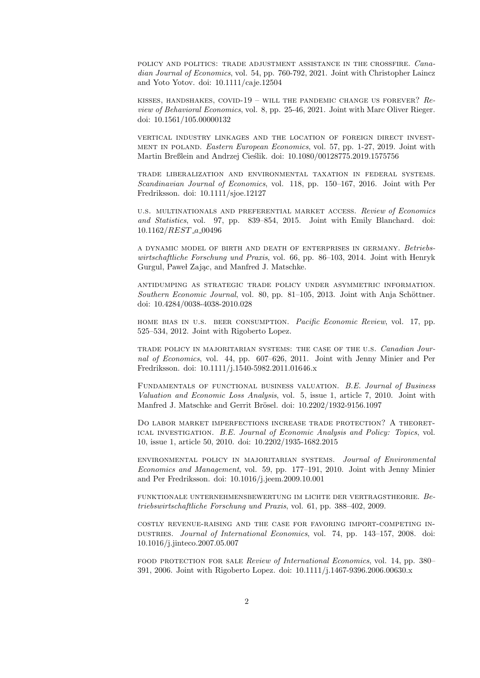policy and politics: trade adjustment assistance in the crossfire. Canadian Journal of Economics, vol. 54, pp. 760-792, 2021. Joint with Christopher Laincz and Yoto Yotov. doi: 10.1111/caje.12504

KISSES, HANDSHAKES, COVID-19 – WILL THE PANDEMIC CHANGE US FOREVER?  $Re$ view of Behavioral Economics, vol. 8, pp. 25-46, 2021. Joint with Marc Oliver Rieger. doi: 10.1561/105.00000132

vertical industry linkages and the location of foreign direct investment in poland. Eastern European Economics, vol. 57, pp. 1-27, 2019. Joint with Martin Breßlein and Andrzej Cieślik. doi: 10.1080/00128775.2019.1575756

trade liberalization and environmental taxation in federal systems. Scandinavian Journal of Economics, vol. 118, pp. 150–167, 2016. Joint with Per Fredriksson. doi: 10.1111/sjoe.12127

u.s. multinationals and preferential market access. Review of Economics and Statistics, vol. 97, pp. 839–854, 2015. Joint with Emily Blanchard. doi: 10.1162/REST a 00496

a dynamic model of birth and death of enterprises in germany. Betriebswirtschaftliche Forschung und Praxis, vol. 66, pp. 86–103, 2014. Joint with Henryk Gurgul, Paweł Zając, and Manfred J. Matschke.

antidumping as strategic trade policy under asymmetric information. Southern Economic Journal, vol. 80, pp. 81–105, 2013. Joint with Anja Schöttner. doi: 10.4284/0038-4038-2010.028

home bias in u.s. beer consumption. Pacific Economic Review, vol. 17, pp. 525–534, 2012. Joint with Rigoberto Lopez.

trade policy in majoritarian systems: the case of the u.s. Canadian Journal of Economics, vol. 44, pp. 607–626, 2011. Joint with Jenny Minier and Per Fredriksson. doi: 10.1111/j.1540-5982.2011.01646.x

Fundamentals of functional business valuation. B.E. Journal of Business Valuation and Economic Loss Analysis, vol. 5, issue 1, article 7, 2010. Joint with Manfred J. Matschke and Gerrit Brösel. doi: 10.2202/1932-9156.1097

Do labor market imperfections increase trade protection? A theoretical investigation. B.E. Journal of Economic Analysis and Policy: Topics, vol. 10, issue 1, article 50, 2010. doi: 10.2202/1935-1682.2015

environmental policy in majoritarian systems. Journal of Environmental Economics and Management, vol. 59, pp. 177–191, 2010. Joint with Jenny Minier and Per Fredriksson. doi: 10.1016/j.jeem.2009.10.001

funktionale unternehmensbewertung im lichte der vertragstheorie. Betriebswirtschaftliche Forschung und Praxis, vol. 61, pp. 388–402, 2009.

costly revenue-raising and the case for favoring import-competing industries. Journal of International Economics, vol. 74, pp. 143–157, 2008. doi: 10.1016/j.jinteco.2007.05.007

food protection for sale Review of International Economics, vol. 14, pp. 380– 391, 2006. Joint with Rigoberto Lopez. doi: 10.1111/j.1467-9396.2006.00630.x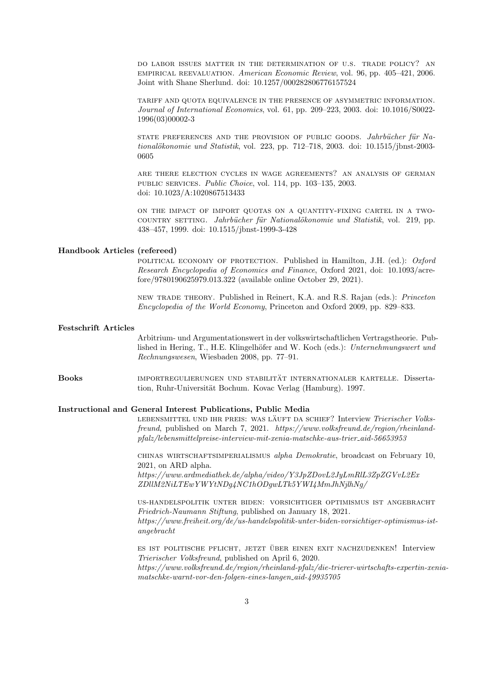do labor issues matter in the determination of u.s. trade policy? an empirical reevaluation. American Economic Review, vol. 96, pp. 405–421, 2006. Joint with Shane Sherlund. doi: 10.1257/000282806776157524

tariff and quota equivalence in the presence of asymmetric information. Journal of International Economics, vol. 61, pp. 209–223, 2003. doi: 10.1016/S0022- 1996(03)00002-3

state preferences and the provision of public goods. Jahrbücher für Na $tionalökonomie und Statistik, vol. 223, pp. 712–718, 2003. doi:  $10.1515/jbnst-2003$ -$ 0605

are there election cycles in wage agreements? an analysis of german public services. Public Choice, vol. 114, pp. 103–135, 2003. doi: 10.1023/A:1020867513433

on the impact of import quotas on a quantity-fixing cartel in a twocountry setting. Jahrbücher für Nationalökonomie und Statistik, vol. 219, pp. 438–457, 1999. doi: 10.1515/jbnst-1999-3-428

### Handbook Articles (refereed)

political economy of protection. Published in Hamilton, J.H. (ed.): Oxford Research Encyclopedia of Economics and Finance, Oxford 2021, doi: 10.1093/acrefore/9780190625979.013.322 (available online October 29, 2021).

new trade theory. Published in Reinert, K.A. and R.S. Rajan (eds.): Princeton Encyclopedia of the World Economy, Princeton and Oxford 2009, pp. 829–833.

#### Festschrift Articles

Arbitrium- und Argumentationswert in der volkswirtschaftlichen Vertragstheorie. Published in Hering, T., H.E. Klingelhöfer and W. Koch (eds.): Unternehmungswert und Rechnungswesen, Wiesbaden 2008, pp. 77–91.

Books importregulierungen und stabilität internationaler kartelle. Dissertation, Ruhr-Universität Bochum. Kovac Verlag (Hamburg). 1997.

#### Instructional and General Interest Publications, Public Media

LEBENSMITTEL UND IHR PREIS: WAS LÄUFT DA SCHIEF? Interview Trierischer Volksfreund, published on March 7, 2021. https://www.volksfreund.de/region/rheinlandpfalz/lebensmittelpreise-interview-mit-xenia-matschke-aus-trier aid-56653953

chinas wirtschaftsimperialismus alpha Demokratie, broadcast on February 10, 2021, on ARD alpha.

https://www.ardmediathek.de/alpha/video/Y3JpZDovL2JyLmRlL3ZpZGVvL2Ex ZDllM2NiLTEwYWYtNDg4NC1hODgwLTk5YWI4MmJhNjlhNg/

us-handelspolitik unter biden: vorsichtiger optimismus ist angebracht Friedrich-Naumann Stiftung, published on January 18, 2021. https://www.freiheit.org/de/us-handelspolitik-unter-biden-vorsichtiger-optimismus-istangebracht

ES IST POLITISCHE PFLICHT, JETZT ÜBER EINEN EXIT NACHZUDENKEN! Interview Trierischer Volksfreund, published on April 6, 2020. https://www.volksfreund.de/region/rheinland-pfalz/die-trierer-wirtschafts-expertin-xeniamatschke-warnt-vor-den-folgen-eines-langen aid-49935705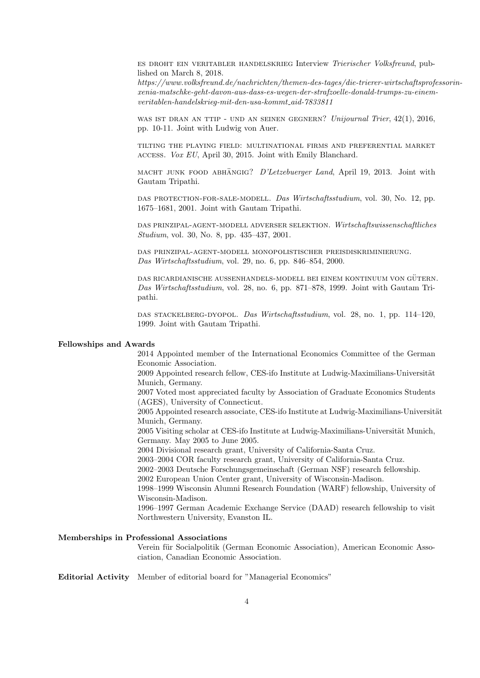es droht ein veritabler handelskrieg Interview Trierischer Volksfreund, published on March 8, 2018.

https://www.volksfreund.de/nachrichten/themen-des-tages/die-trierer-wirtschaftsprofessorinxenia-matschke-geht-davon-aus-dass-es-wegen-der-strafzoelle-donald-trumps-zu-einem $vertical when-handelskrieg-mit-den-usa-kommt\_aid-7833811$ 

was ist dran an ttip - und an seinen gegnern? Unijournal Trier, 42(1), 2016, pp. 10-11. Joint with Ludwig von Auer.

tilting the playing field: multinational firms and preferential market access. Vox EU, April 30, 2015. Joint with Emily Blanchard.

MACHT JUNK FOOD ABHÄNGIG? *D'Letzebuerger Land*, April 19, 2013. Joint with Gautam Tripathi.

das protection-for-sale-modell. Das Wirtschaftsstudium, vol. 30, No. 12, pp. 1675–1681, 2001. Joint with Gautam Tripathi.

das prinzipal-agent-modell adverser selektion. Wirtschaftswissenschaftliches Studium, vol. 30, No. 8, pp. 435–437, 2001.

das prinzipal-agent-modell monopolistischer preisdiskriminierung. Das Wirtschaftsstudium, vol. 29, no. 6, pp. 846–854, 2000.

das ricardianische außenhandels-modell bei einem kontinuum von gutern. ¨ Das Wirtschaftsstudium, vol. 28, no. 6, pp. 871–878, 1999. Joint with Gautam Tripathi.

das stackelberg-dyopol. Das Wirtschaftsstudium, vol. 28, no. 1, pp. 114–120, 1999. Joint with Gautam Tripathi.

#### Fellowships and Awards

2014 Appointed member of the International Economics Committee of the German Economic Association.

2009 Appointed research fellow, CES-ifo Institute at Ludwig-Maximilians-Universität Munich, Germany.

2007 Voted most appreciated faculty by Association of Graduate Economics Students (AGES), University of Connecticut.

2005 Appointed research associate, CES-ifo Institute at Ludwig-Maximilians-Universität Munich, Germany.

2005 Visiting scholar at CES-ifo Institute at Ludwig-Maximilians-Universität Munich, Germany. May 2005 to June 2005.

2004 Divisional research grant, University of California-Santa Cruz.

2003–2004 COR faculty research grant, University of California-Santa Cruz.

2002–2003 Deutsche Forschungsgemeinschaft (German NSF) research fellowship.

2002 European Union Center grant, University of Wisconsin-Madison.

1998–1999 Wisconsin Alumni Research Foundation (WARF) fellowship, University of Wisconsin-Madison.

1996–1997 German Academic Exchange Service (DAAD) research fellowship to visit Northwestern University, Evanston IL.

#### Memberships in Professional Associations

Verein für Socialpolitik (German Economic Association), American Economic Association, Canadian Economic Association.

Editorial Activity Member of editorial board for "Managerial Economics"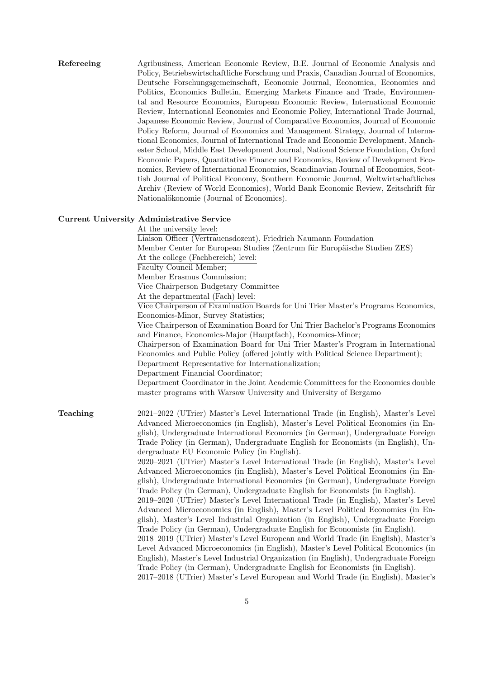Refereeing Agribusiness, American Economic Review, B.E. Journal of Economic Analysis and Policy, Betriebswirtschaftliche Forschung und Praxis, Canadian Journal of Economics, Deutsche Forschungsgemeinschaft, Economic Journal, Economica, Economics and Politics, Economics Bulletin, Emerging Markets Finance and Trade, Environmental and Resource Economics, European Economic Review, International Economic Review, International Economics and Economic Policy, International Trade Journal, Japanese Economic Review, Journal of Comparative Economics, Journal of Economic Policy Reform, Journal of Economics and Management Strategy, Journal of International Economics, Journal of International Trade and Economic Development, Manchester School, Middle East Development Journal, National Science Foundation, Oxford Economic Papers, Quantitative Finance and Economics, Review of Development Economics, Review of International Economics, Scandinavian Journal of Economics, Scottish Journal of Political Economy, Southern Economic Journal, Weltwirtschaftliches Archiv (Review of World Economics), World Bank Economic Review, Zeitschrift für Nationalökonomie (Journal of Economics).

#### Current University Administrative Service

At the university level: Liaison Officer (Vertrauensdozent), Friedrich Naumann Foundation Member Center for European Studies (Zentrum für Europäische Studien ZES) At the college (Fachbereich) level: Faculty Council Member; Member Erasmus Commission; Vice Chairperson Budgetary Committee At the departmental (Fach) level: Vice Chairperson of Examination Boards for Uni Trier Master's Programs Economics, Economics-Minor, Survey Statistics; Vice Chairperson of Examination Board for Uni Trier Bachelor's Programs Economics and Finance, Economics-Major (Hauptfach), Economics-Minor; Chairperson of Examination Board for Uni Trier Master's Program in International Economics and Public Policy (offered jointly with Political Science Department); Department Representative for Internationalization; Department Financial Coordinator; Department Coordinator in the Joint Academic Committees for the Economics double master programs with Warsaw University and University of Bergamo Teaching 2021–2022 (UTrier) Master's Level International Trade (in English), Master's Level Advanced Microeconomics (in English), Master's Level Political Economics (in English), Undergraduate International Economics (in German), Undergraduate Foreign Trade Policy (in German), Undergraduate English for Economists (in English), Undergraduate EU Economic Policy (in English). 2020–2021 (UTrier) Master's Level International Trade (in English), Master's Level Advanced Microeconomics (in English), Master's Level Political Economics (in English), Undergraduate International Economics (in German), Undergraduate Foreign Trade Policy (in German), Undergraduate English for Economists (in English). 2019–2020 (UTrier) Master's Level International Trade (in English), Master's Level Advanced Microeconomics (in English), Master's Level Political Economics (in English), Master's Level Industrial Organization (in English), Undergraduate Foreign Trade Policy (in German), Undergraduate English for Economists (in English). 2018–2019 (UTrier) Master's Level European and World Trade (in English), Master's Level Advanced Microeconomics (in English), Master's Level Political Economics (in English), Master's Level Industrial Organization (in English), Undergraduate Foreign Trade Policy (in German), Undergraduate English for Economists (in English). 2017–2018 (UTrier) Master's Level European and World Trade (in English), Master's